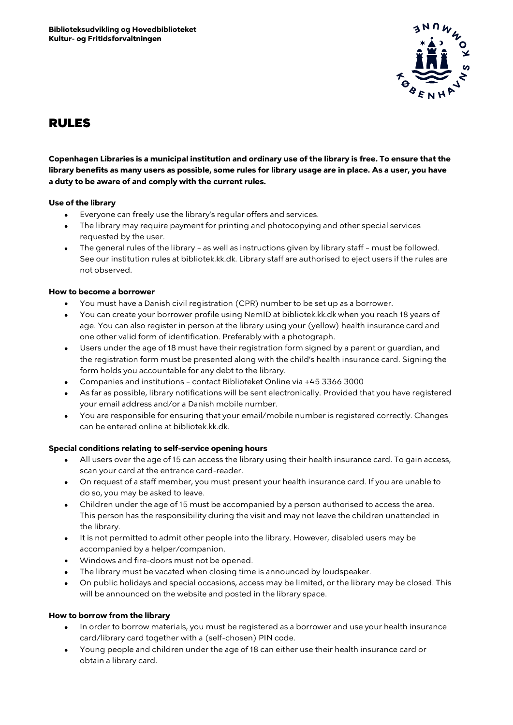

# RULES

**Copenhagen Libraries is a municipal institution and ordinary use of the library is free. To ensure that the library benefits as many users as possible, some rules for library usage are in place. As a user, you have a duty to be aware of and comply with the current rules.** 

## **Use of the library**

- Everyone can freely use the library's regular offers and services.
- The library may require payment for printing and photocopying and other special services requested by the user.
- The general rules of the library as well as instructions given by library staff must be followed. See our institution rules at bibliotek.kk.dk. Library staff are authorised to eject users if the rules are not observed.

#### **How to become a borrower**

- You must have a Danish civil registration (CPR) number to be set up as a borrower.
- You can create your borrower profile using NemID at bibliotek.kk.dk when you reach 18 years of age. You can also register in person at the library using your (yellow) health insurance card and one other valid form of identification. Preferably with a photograph.
- Users under the age of 18 must have their registration form signed by a parent or guardian, and the registration form must be presented along with the child's health insurance card. Signing the form holds you accountable for any debt to the library.
- Companies and institutions contact Biblioteket Online via +45 3366 3000
- As far as possible, library notifications will be sent electronically. Provided that you have registered your email address and/or a Danish mobile number.
- You are responsible for ensuring that your email/mobile number is registered correctly. Changes can be entered online at bibliotek.kk.dk.

## **Special conditions relating to self-service opening hours**

- All users over the age of 15 can access the library using their health insurance card. To gain access, scan your card at the entrance card-reader.
- On request of a staff member, you must present your health insurance card. If you are unable to do so, you may be asked to leave.
- Children under the age of 15 must be accompanied by a person authorised to access the area. This person has the responsibility during the visit and may not leave the children unattended in the library.
- It is not permitted to admit other people into the library. However, disabled users may be accompanied by a helper/companion.
- Windows and fire-doors must not be opened.
- The library must be vacated when closing time is announced by loudspeaker.
- On public holidays and special occasions, access may be limited, or the library may be closed. This will be announced on the website and posted in the library space.

#### **How to borrow from the library**

- In order to borrow materials, you must be registered as a borrower and use your health insurance card/library card together with a (self-chosen) PIN code.
- Young people and children under the age of 18 can either use their health insurance card or obtain a library card.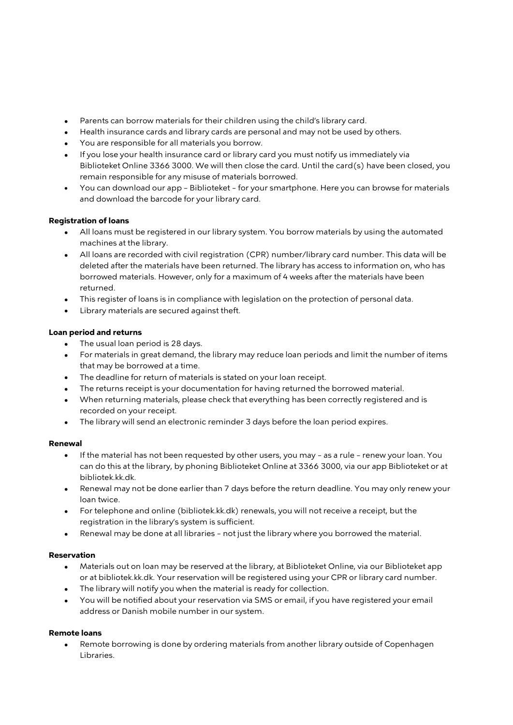- Parents can borrow materials for their children using the child's library card.
- Health insurance cards and library cards are personal and may not be used by others.
- You are responsible for all materials you borrow.
- If you lose your health insurance card or library card you must notify us immediately via Biblioteket Online 3366 3000. We will then close the card. Until the card(s) have been closed, you remain responsible for any misuse of materials borrowed.
- You can download our app Biblioteket for your smartphone. Here you can browse for materials and download the barcode for your library card.

# **Registration of loans**

- All loans must be registered in our library system. You borrow materials by using the automated machines at the library.
- All loans are recorded with civil registration (CPR) number/library card number. This data will be deleted after the materials have been returned. The library has access to information on, who has borrowed materials. However, only for a maximum of 4 weeks after the materials have been returned.
- This register of loans is in compliance with legislation on the protection of personal data.
- Library materials are secured against theft.

# **Loan period and returns**

- The usual loan period is 28 days.
- For materials in great demand, the library may reduce loan periods and limit the number of items that may be borrowed at a time.
- The deadline for return of materials is stated on your loan receipt.
- The returns receipt is your documentation for having returned the borrowed material.
- When returning materials, please check that everything has been correctly registered and is recorded on your receipt.
- The library will send an electronic reminder 3 days before the loan period expires.

## **Renewal**

- If the material has not been requested by other users, you may as a rule renew your loan. You can do this at the library, by phoning Biblioteket Online at 3366 3000, via our app Biblioteket or at bibliotek.kk.dk.
- Renewal may not be done earlier than 7 days before the return deadline. You may only renew your loan twice.
- For telephone and online (bibliotek.kk.dk) renewals, you will not receive a receipt, but the registration in the library's system is sufficient.
- Renewal may be done at all libraries not just the library where you borrowed the material.

## **Reservation**

- Materials out on loan may be reserved at the library, at Biblioteket Online, via our Biblioteket app or at bibliotek.kk.dk. Your reservation will be registered using your CPR or library card number.
- The library will notify you when the material is ready for collection.
- You will be notified about your reservation via SMS or email, if you have registered your email address or Danish mobile number in our system.

## **Remote loans**

• Remote borrowing is done by ordering materials from another library outside of Copenhagen Libraries.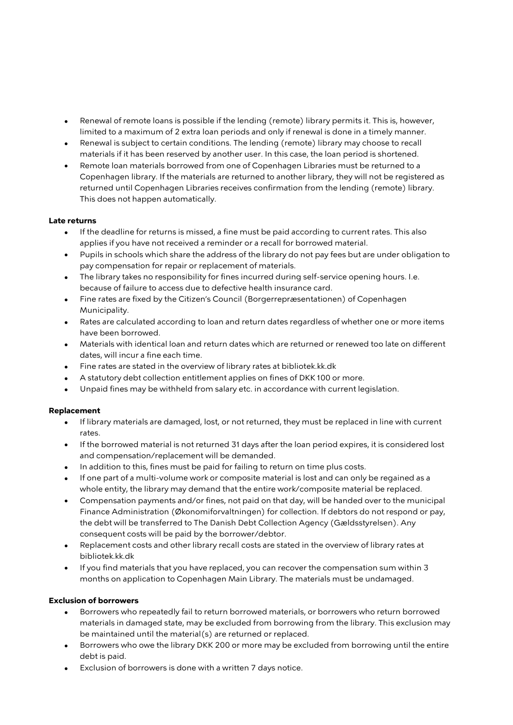- Renewal of remote loans is possible if the lending (remote) library permits it. This is, however, limited to a maximum of 2 extra loan periods and only if renewal is done in a timely manner.
- Renewal is subject to certain conditions. The lending (remote) library may choose to recall materials if it has been reserved by another user. In this case, the loan period is shortened.
- Remote loan materials borrowed from one of Copenhagen Libraries must be returned to a Copenhagen library. If the materials are returned to another library, they will not be registered as returned until Copenhagen Libraries receives confirmation from the lending (remote) library. This does not happen automatically.

#### **Late returns**

- If the deadline for returns is missed, a fine must be paid according to current rates. This also applies if you have not received a reminder or a recall for borrowed material.
- Pupils in schools which share the address of the library do not pay fees but are under obligation to pay compensation for repair or replacement of materials.
- The library takes no responsibility for fines incurred during self-service opening hours. I.e. because of failure to access due to defective health insurance card.
- Fine rates are fixed by the Citizen's Council (Borgerrepræsentationen) of Copenhagen Municipality.
- Rates are calculated according to loan and return dates regardless of whether one or more items have been borrowed.
- Materials with identical loan and return dates which are returned or renewed too late on different dates, will incur a fine each time.
- Fine rates are stated in the overview of library rates at bibliotek.kk.dk
- A statutory debt collection entitlement applies on fines of DKK 100 or more.
- Unpaid fines may be withheld from salary etc. in accordance with current legislation.

## **Replacement**

- If library materials are damaged, lost, or not returned, they must be replaced in line with current rates.
- If the borrowed material is not returned 31 days after the loan period expires, it is considered lost and compensation/replacement will be demanded.
- In addition to this, fines must be paid for failing to return on time plus costs.
- If one part of a multi-volume work or composite material is lost and can only be regained as a whole entity, the library may demand that the entire work/composite material be replaced.
- Compensation payments and/or fines, not paid on that day, will be handed over to the municipal Finance Administration (Økonomiforvaltningen) for collection. If debtors do not respond or pay, the debt will be transferred to The Danish Debt Collection Agency (Gældsstyrelsen). Any consequent costs will be paid by the borrower/debtor.
- Replacement costs and other library recall costs are stated in the overview of library rates at bibliotek.kk.dk
- If you find materials that you have replaced, you can recover the compensation sum within 3 months on application to Copenhagen Main Library. The materials must be undamaged.

## **Exclusion of borrowers**

- Borrowers who repeatedly fail to return borrowed materials, or borrowers who return borrowed materials in damaged state, may be excluded from borrowing from the library. This exclusion may be maintained until the material(s) are returned or replaced.
- Borrowers who owe the library DKK 200 or more may be excluded from borrowing until the entire debt is paid.
- Exclusion of borrowers is done with a written 7 days notice.